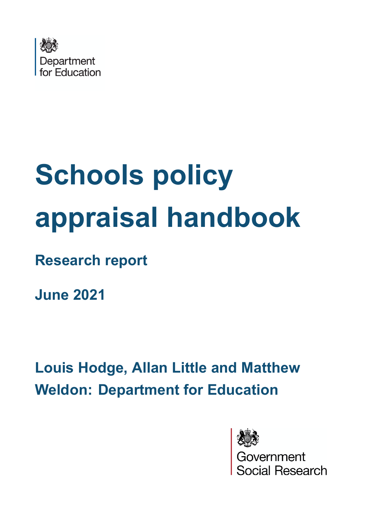<span id="page-0-0"></span>

# **Schools policy appraisal handbook**

**Research report**

**June 2021**

**Louis Hodge, Allan Little and Matthew Weldon: Department for Education**



*v*ernment<br>:ial Research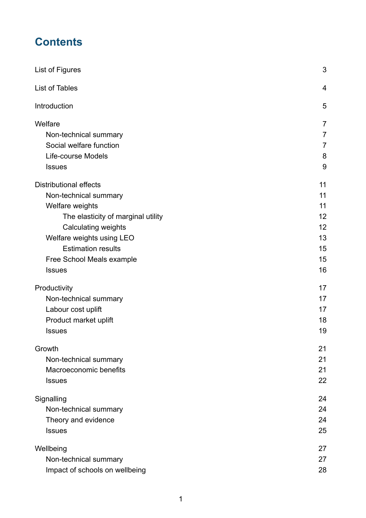# **Contents**

| List of Figures                    | 3              |
|------------------------------------|----------------|
| <b>List of Tables</b>              | $\overline{4}$ |
| Introduction                       | 5              |
| Welfare                            | 7              |
| Non-technical summary              | $\overline{7}$ |
| Social welfare function            | $\overline{7}$ |
| Life-course Models                 | 8              |
| <b>Issues</b>                      | 9              |
| <b>Distributional effects</b>      | 11             |
| Non-technical summary              | 11             |
| Welfare weights                    | 11             |
| The elasticity of marginal utility | 12             |
| <b>Calculating weights</b>         | 12             |
| Welfare weights using LEO          | 13             |
| <b>Estimation results</b>          | 15             |
| Free School Meals example          | 15             |
| <b>Issues</b>                      | 16             |
| Productivity                       | 17             |
| Non-technical summary              | 17             |
| Labour cost uplift                 | 17             |
| Product market uplift              | 18             |
| <b>Issues</b>                      | 19             |
| Growth                             | 21             |
| Non-technical summary              | 21             |
| Macroeconomic benefits             | 21             |
| <b>Issues</b>                      | 22             |
| Signalling                         | 24             |
| Non-technical summary              | 24             |
| Theory and evidence                | 24             |
| <b>Issues</b>                      | 25             |
| Wellbeing                          | 27             |
| Non-technical summary              | 27             |
| Impact of schools on wellbeing     | 28             |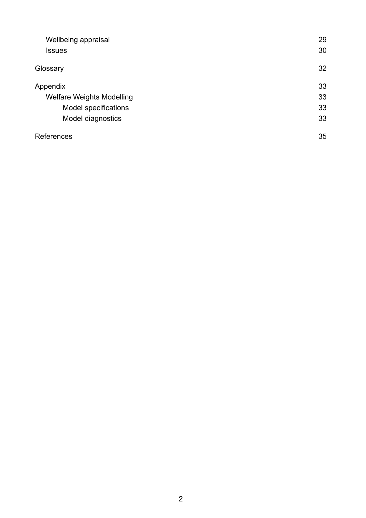| Wellbeing appraisal              | 29 |
|----------------------------------|----|
| <b>Issues</b>                    | 30 |
| Glossary                         | 32 |
| Appendix                         | 33 |
| <b>Welfare Weights Modelling</b> | 33 |
| Model specifications             | 33 |
| Model diagnostics                | 33 |
| References                       | 35 |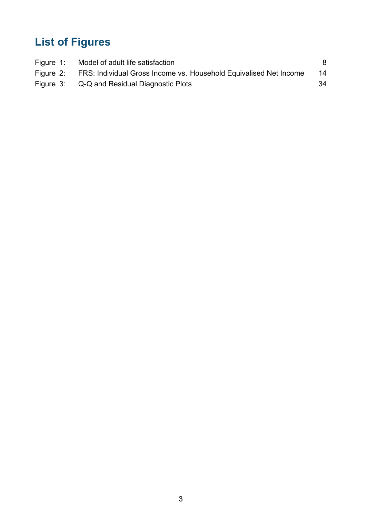# **List of Figures**

| Figure 1: Model of adult life satisfaction                                  |    |
|-----------------------------------------------------------------------------|----|
| Figure 2: FRS: Individual Gross Income vs. Household Equivalised Net Income | 14 |
| Figure 3: Q-Q and Residual Diagnostic Plots                                 | 34 |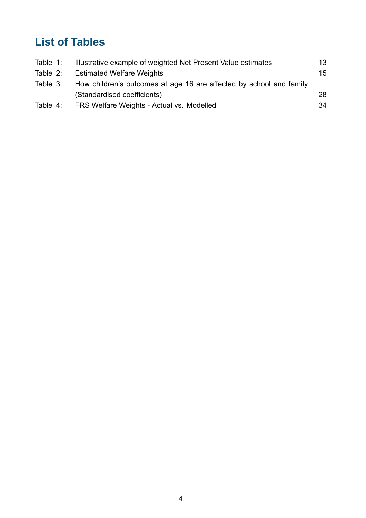# **List of Tables**

| Table 1: | Illustrative example of weighted Net Present Value estimates        | 13 |
|----------|---------------------------------------------------------------------|----|
| Table 2: | <b>Estimated Welfare Weights</b>                                    | 15 |
| Table 3: | How children's outcomes at age 16 are affected by school and family |    |
|          | (Standardised coefficients)                                         | 28 |
| Table 4: | FRS Welfare Weights - Actual vs. Modelled                           | 34 |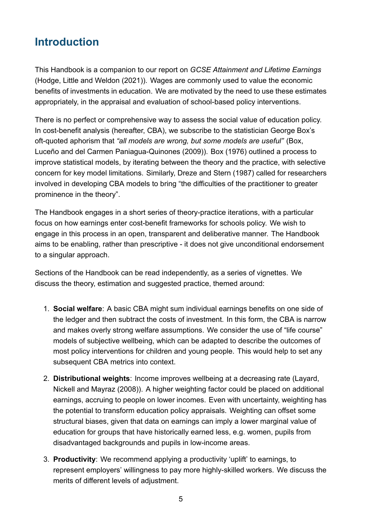# **Introduction**

This Handbook is a companion to our report on *GCSE Attainment and Lifetime Earnings* (Hodge, Little and Weldon ([2021\)](#page-37-0)). Wages are commonly used to value the economic benefits of investments in education. We are motivated by the need to use these estimates appropriately, in the appraisal and evaluation of school-based policy interventions.

There is no perfect or comprehensive way to assess the social value of education policy. In cost-benefit analysis (hereafter, CBA), we subscribe to the statistician George Box's oft-quoted aphorism that *"all models are wrong, but some models are useful"* (Box, Luceño and del Carmen Paniagua-Quinones ([2009](#page-35-0))). Box ([1976](#page-35-1)) outlined a process to improve statistical models, by iterating between the theory and the practice, with selective concern for key model limitations. Similarly, Dreze and Stern ([1987\)](#page-36-0) called for researchers involved in developing CBA models to bring "the difficulties of the practitioner to greater prominence in the theory".

The Handbook engages in a short series of theory-practice iterations, with a particular focus on how earnings enter cost-benefit frameworks for schools policy. We wish to engage in this process in an open, transparent and deliberative manner. The Handbook aims to be enabling, rather than prescriptive - it does not give unconditional endorsement to a singular approach.

Sections of the Handbook can be read independently, as a series of vignettes. We discuss the theory, estimation and suggested practice, themed around:

- 1. **Social welfare**: A basic CBA might sum individual earnings benefits on one side of the ledger and then subtract the costs of investment. In this form, the CBA is narrow and makes overly strong welfare assumptions. We consider the use of "life course" models of subjective wellbeing, which can be adapted to describe the outcomes of most policy interventions for children and young people. This would help to set any subsequent CBA metrics into context.
- 2. **Distributional weights**: Income improves wellbeing at a decreasing rate (Layard, Nickell and Mayraz ([2008](#page-38-0))). A higher weighting factor could be placed on additional earnings, accruing to people on lower incomes. Even with uncertainty, weighting has the potential to transform education policy appraisals. Weighting can offset some structural biases, given that data on earnings can imply a lower marginal value of education for groups that have historically earned less, e.g. women, pupils from disadvantaged backgrounds and pupils in low-income areas.
- 3. **Productivity**: We recommend applying a productivity 'uplift' to earnings, to represent employers' willingness to pay more highly-skilled workers. We discuss the merits of different levels of adjustment.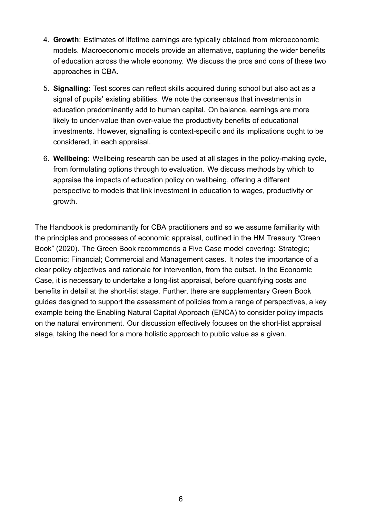- 4. **Growth**: Estimates of lifetime earnings are typically obtained from microeconomic models. Macroeconomic models provide an alternative, capturing the wider benefits of education across the whole economy. We discuss the pros and cons of these two approaches in CBA.
- 5. **Signalling**: Test scores can reflect skills acquired during school but also act as a signal of pupils' existing abilities. We note the consensus that investments in education predominantly add to human capital. On balance, earnings are more likely to under-value than over-value the productivity benefits of educational investments. However, signalling is context-specific and its implications ought to be considered, in each appraisal.
- <span id="page-6-0"></span>6. **Wellbeing**: Wellbeing research can be used at all stages in the policy-making cycle, from formulating options through to evaluation. We discuss methods by which to appraise the impacts of education policy on wellbeing, offering a different perspective to models that link investment in education to wages, productivity or growth.

The Handbook is predominantly for CBA practitioners and so we assume familiarity with the principles and processes of economic appraisal, outlined in the HM Treasury "Green Book" [\(2020\)](#page-37-1). The Green Book recommends a Five Case model covering: Strategic; Economic; Financial; Commercial and Management cases. It notes the importance of a clear policy objectives and rationale for intervention, from the outset. In the Economic Case, it is necessary to undertake a long-list appraisal, before quantifying costs and benefits in detail at the short-list stage. Further, there are supplementary Green Book guides designed to support the assessment of policies from a range of perspectives, a key example being the Enabling Natural Capital Approach (ENCA) to consider policy impacts on the natural environment. Our discussion effectively focuses on the short-list appraisal stage, taking the need for a more holistic approach to public value as a given.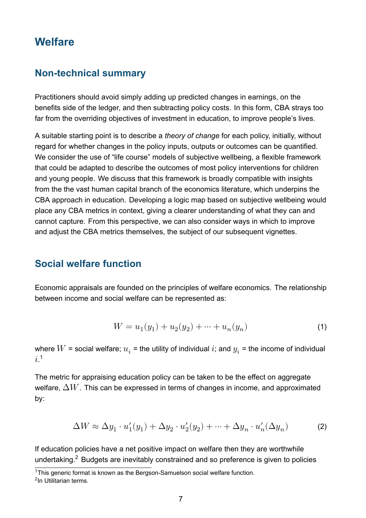# **Welfare**

#### <span id="page-7-0"></span>**Non-technical summary**

Practitioners should avoid simply adding up predicted changes in earnings, on the benefits side of the ledger, and then subtracting policy costs. In this form, CBA strays too far from the overriding objectives of investment in education, to improve people's lives.

A suitable starting point is to describe a *theory of change* for each policy, initially, without regard for whether changes in the policy inputs, outputs or outcomes can be quantified. We consider the use of "life course" models of subjective wellbeing, a flexible framework that could be adapted to describe the outcomes of most policy interventions for children and young people. We discuss that this framework is broadly compatible with insights from the the vast human capital branch of the economics literature, which underpins the CBA approach in education. Developing a logic map based on subjective wellbeing would place any CBA metrics in context, giving a clearer understanding of what they can and cannot capture. From this perspective, we can also consider ways in which to improve and adjust the CBA metrics themselves, the subject of our subsequent vignettes.

#### **Social welfare function**

Economic appraisals are founded on the principles of welfare economics. The relationship between income and social welfare can be represented as:

$$
W = u_1(y_1) + u_2(y_2) + \dots + u_n(y_n)
$$
\n<sup>(1)</sup>

where  $W$  = social welfare;  $u_i$  = the utility of individual  $i$ ; and  $y_i$  = the income of individual  $i^1$ 

The metric for appraising education policy can be taken to be the effect on aggregate welfare,  $\Delta W$ . This can be expressed in terms of changes in income, and approximated by:

<span id="page-7-1"></span>
$$
\Delta W \approx \Delta y_1 \cdot u_1'(y_1) + \Delta y_2 \cdot u_2'(y_2) + \dots + \Delta y_n \cdot u_n'(\Delta y_n)
$$
 (2)

If education policies have a net positive impact on welfare then they are worthwhile undertaking.<sup>2</sup> Budgets are inevitably constrained and so preference is given to policies

 $\frac{1}{1}$ This generic format is known as the Bergson-Samuelson social welfare function.

<sup>&</sup>lt;sup>2</sup>In [Utilitarian](https://en.wikipedia.org/wiki/Social_welfare_function) terms.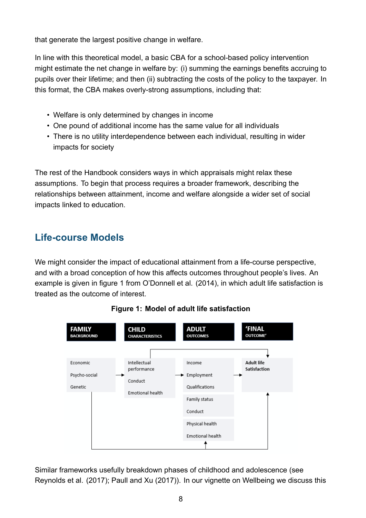that generate the largest positive change in welfare.

In line with this theoretical model, a basic CBA for a school-based policy intervention might estimate the net change in welfare by: (i) summing the earnings benefits accruing to pupils over their lifetime; and then (ii) subtracting the costs of the policy to the taxpayer. In this format, the CBA makes overly-strong assumptions, including that:

- Welfare is only determined by changes in income
- One pound of additional income has the same value for all individuals
- There is no utility interdependence between each individual, resulting in wider impacts for society

The rest of the Handbook considers ways in which appraisals might relax these assumptions. To begin that process requires a broader framework, describing the relationships between attainment, income and welfare alongside a wider set of social impacts linked to education.

# **Life-course Models**

We might consider the impact of educational attainment from a life-course perspective, and with a broad conception of how this affects outcomes throughout people's lives. An example is given in figure [1](#page-8-0) from O'Donnell et al. [\(2014\)](#page-38-1), in which adult life satisfaction is treated as the outcome of interest.

<span id="page-8-0"></span>

**Figure 1: Model of adult life satisfaction**

Similar frameworks usefully breakdown phases of childhood and adolescence (see Reynolds et al. [\(2017\)](#page-39-0); Paull and Xu ([2017](#page-38-2))). In our vignette on [Wellbeing](#page-27-2) we discuss this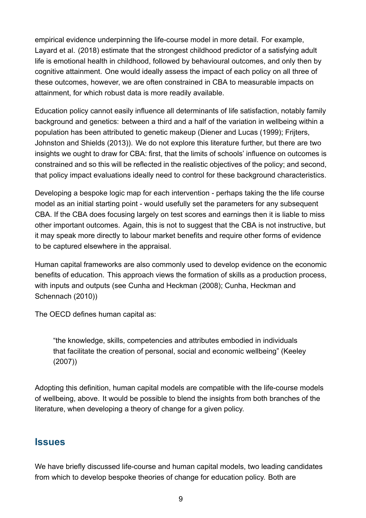empirical evidence underpinning the life-course model in more detail. For example, Layard et al. ([2018](#page-38-3)) estimate that the strongest childhood predictor of a satisfying adult life is emotional health in childhood, followed by behavioural outcomes, and only then by cognitive attainment. One would ideally assess the impact of each policy on all three of these outcomes, however, we are often constrained in CBA to measurable impacts on attainment, for which robust data is more readily available.

Education policy cannot easily influence all determinants of life satisfaction, notably family background and genetics: between a third and a half of the variation in wellbeing within a population has been attributed to genetic makeup (Diener and Lucas ([1999](#page-36-1)); Frijters, Johnston and Shields [\(2013\)](#page-36-2)). We do not explore this literature further, but there are two insights we ought to draw for CBA: first, that the limits of schools' influence on outcomes is constrained and so this will be reflected in the realistic objectives of the policy; and second, that policy impact evaluations ideally need to control for these background characteristics.

Developing a bespoke logic map for each intervention - perhaps taking the the life course model as an initial starting point - would usefully set the parameters for any subsequent CBA. If the CBA does focusing largely on test scores and earnings then it is liable to miss other important outcomes. Again, this is not to suggest that the CBA is not instructive, but it may speak more directly to labour market benefits and require other forms of evidence to be captured elsewhere in the appraisal.

Human capital frameworks are also commonly used to develop evidence on the economic benefits of education. This approach views the formation of skills as a production process, with inputs and outputs (see Cunha and Heckman [\(2008](#page-36-3)); Cunha, Heckman and Schennach ([2010](#page-36-4)))

The OECD defines human capital as:

"the knowledge, skills, competencies and attributes embodied in individuals that facilitate the creation of personal, social and economic wellbeing" (Keeley ([2007](#page-37-2)))

Adopting this definition, human capital models are compatible with the life-course models of wellbeing, above. It would be possible to blend the insights from both branches of the literature, when developing a theory of change for a given policy.

#### **Issues**

We have briefly discussed life-course and human capital models, two leading candidates from which to develop bespoke theories of change for education policy. Both are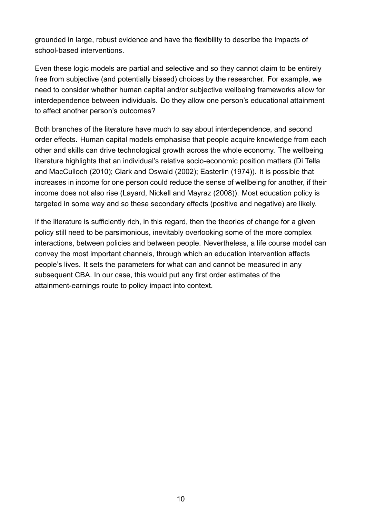grounded in large, robust evidence and have the flexibility to describe the impacts of school-based interventions.

Even these logic models are partial and selective and so they cannot claim to be entirely free from subjective (and potentially biased) choices by the researcher. For example, we need to consider whether human capital and/or subjective wellbeing frameworks allow for interdependence between individuals. Do they allow one person's educational attainment to affect another person's outcomes?

Both branches of the literature have much to say about interdependence, and second order effects. Human capital models emphasise that people acquire knowledge from each other and skills can drive technological growth across the whole economy. The wellbeing literature highlights that an individual's relative socio-economic position matters (Di Tella and MacCulloch ([2010](#page-36-5)); Clark and Oswald ([2002](#page-35-2)); Easterlin ([1974](#page-36-6))). It is possible that increases in income for one person could reduce the sense of wellbeing for another, if their income does not also rise (Layard, Nickell and Mayraz ([2008\)](#page-38-0)). Most education policy is targeted in some way and so these secondary effects (positive and negative) are likely.

If the literature is sufficiently rich, in this regard, then the theories of change for a given policy still need to be parsimonious, inevitably overlooking some of the more complex interactions, between policies and between people. Nevertheless, a life course model can convey the most important channels, through which an education intervention affects people's lives. It sets the parameters for what can and cannot be measured in any subsequent CBA. In our case, this would put any first order estimates of the attainment-earnings route to policy impact into context.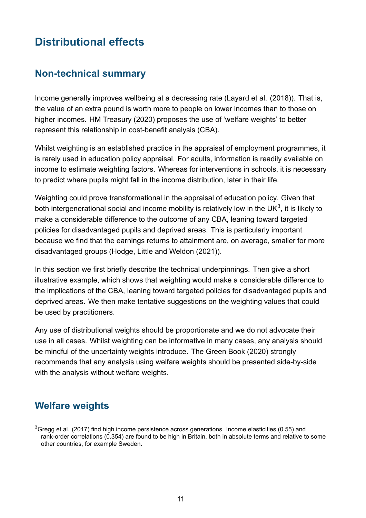# **Distributional effects**

#### <span id="page-11-0"></span>**Non-technical summary**

Income generally improves wellbeing at a decreasing rate (Layard et al. [\(2018\)](#page-38-3)). That is, the value of an extra pound is worth more to people on lower incomes than to those on higher incomes. HM Treasury [\(2020](#page-37-1)) proposes the use of 'welfare weights' to better represent this relationship in cost-benefit analysis (CBA).

Whilst weighting is an established practice in the appraisal of employment programmes, it is rarely used in education policy appraisal. For adults, information is readily available on income to estimate weighting factors. Whereas for interventions in schools, it is necessary to predict where pupils might fall in the income distribution, later in their life.

Weighting could prove transformational in the appraisal of education policy. Given that both intergenerational social and income mobility is relatively low in the UK $^3$ , it is likely to make a considerable difference to the outcome of any CBA, leaning toward targeted policies for disadvantaged pupils and deprived areas. This is particularly important because we find that the earnings returns to attainment are, on average, smaller for more disadvantaged groups (Hodge, Little and Weldon ([2021\)](#page-37-0)).

In this section we first briefly describe the technical underpinnings. Then give a short illustrative example, which shows that weighting would make a considerable difference to the implications of the CBA, leaning toward targeted policies for disadvantaged pupils and deprived areas. We then make tentative suggestions on the weighting values that could be used by practitioners.

Any use of distributional weights should be proportionate and we do not advocate their use in all cases. Whilst weighting can be informative in many cases, any analysis should be mindful of the uncertainty weights introduce. The Green Book ([2020\)](#page-37-1) strongly recommends that any analysis using welfare weights should be presented side-by-side with the analysis without welfare weights.

## **Welfare weights**

 $3$ Gregg et al. [\(2017](#page-37-3)) find high income persistence across generations. Income elasticities (0.55) and rank-order correlations (0.354) are found to be high in Britain, both in absolute terms and relative to some other countries, for example Sweden.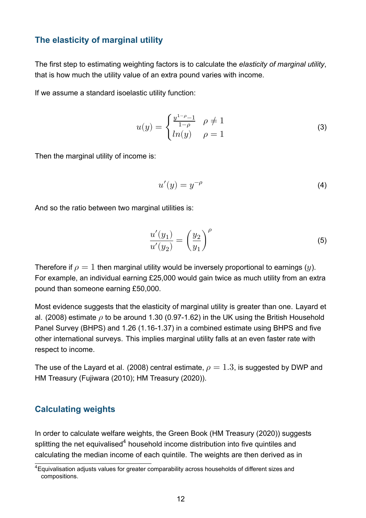#### <span id="page-12-0"></span>**The elasticity of marginal utility**

The first step to estimating weighting factors is to calculate the *elasticity of marginal utility*, that is how much the utility value of an extra pound varies with income.

If we assume a standard [isoelastic](https://en.wikipedia.org/wiki/Isoelastic_utility) utility function:

$$
u(y) = \begin{cases} \frac{y^{1-\rho}-1}{1-\rho} & \rho \neq 1\\ ln(y) & \rho = 1 \end{cases}
$$
 (3)

Then the marginal utility of income is:

$$
u'(y) = y^{-\rho} \tag{4}
$$

And so the ratio between two marginal utilities is:

<span id="page-12-1"></span>
$$
\frac{u'(y_1)}{u'(y_2)} = \left(\frac{y_2}{y_1}\right)^{\rho} \tag{5}
$$

Therefore if  $\rho = 1$  then marginal utility would be inversely proportional to earnings (*u*). For example, an individual earning £25,000 would gain twice as much utility from an extra pound than someone earning £50,000.

Most evidence suggests that the elasticity of marginal utility is greater than one. Layard et al. ([2008](#page-38-0)) estimate  $\rho$  to be around 1.30 [\(0.97-1.62\)](https://0.97-1.62) in the UK using the British Household Panel Survey (BHPS) and 1.26 ([1.16-1.37](https://1.16-1.37)) in a combined estimate using BHPS and five other international surveys. This implies marginal utility falls at an even faster rate with respect to income.

The use of the Layard et al. ([2008](#page-38-0)) central estimate,  $\rho = 1.3$ , is suggested by DWP and HM Treasury (Fujiwara [\(2010\)](#page-36-7); HM Treasury [\(2020\)](#page-37-1)).

#### **Calculating weights**

In order to calculate welfare weights, the Green Book (HM Treasury ([2020\)](#page-37-1)) suggests splitting the net equivalised<sup>4</sup> household income distribution into five quintiles and calculating the median income of each quintile. The weights are then derived as in

<sup>&</sup>lt;sup>4</sup>Equivalisation adjusts values for greater comparability across households of different sizes and compositions.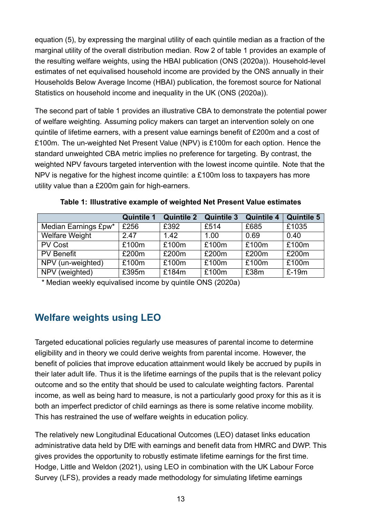equation ([5\)](#page-12-1), by expressing the marginal utility of each quintile median as a fraction of the marginal utility of the overall distribution median. Row 2 of table [1](#page-13-0) provides an example of the resulting welfare weights, using the HBAI publication (ONS ([2020a](#page-38-4))). Household-level estimates of net equivalised household income are provided by the ONS annually in their Households Below Average Income (HBAI) publication, the foremost source for National Statistics on household income and inequality in the UK (ONS ([2020a\)](#page-38-4)).

The second part of table [1](#page-13-0) provides an illustrative CBA to demonstrate the potential power of welfare weighting. Assuming policy makers can target an intervention solely on one quintile of lifetime earners, with a present value earnings benefit of  $E200m$  and a cost of £100m. The un-weighted Net Present Value (NPV) is £100m for each option. Hence the standard unweighted CBA metric implies no preference for targeting. By contrast, the weighted NPV favours targeted intervention with the lowest income quintile. Note that the NPV is negative for the highest income quintile: a £100m loss to taxpayers has more utility value than a £200m gain for high-earners.

<span id="page-13-0"></span>

|                       | <b>Quintile 1</b> | <b>Quintile 2</b> | <b>Quintile 3</b> | <b>Quintile 4</b> | <b>Quintile 5</b> |
|-----------------------|-------------------|-------------------|-------------------|-------------------|-------------------|
| Median Earnings £pw*  | £256              | £392              | £514              | £685              | £1035             |
| <b>Welfare Weight</b> | 2.47              | 1.42              | 1.00              | 0.69              | 0.40              |
| <b>PV Cost</b>        | £100m             | £100m             | £100m             | £100m             | £100m             |
| <b>PV</b> Benefit     | £200m             | £200m             | £200m             | £200m             | £200m             |
| NPV (un-weighted)     | £100m             | £100m             | £100m             | £100m             | £100m             |
| NPV (weighted)        | £395m             | £184m             | £100m             | £38m              | $E-19m$           |

**Table 1: Illustrative example of weighted Net Present Value estimates**

*\** Median weekly equivalised income by quintile ONS [\(2020a](#page-38-4))

# **Welfare weights using LEO**

Targeted educational policies regularly use measures of parental income to determine eligibility and in theory we could derive weights from parental income. However, the benefit of policies that improve education attainment would likely be accrued by pupils in their later adult life. Thus it is the lifetime earnings of the pupils that is the relevant policy outcome and so the entity that should be used to calculate weighting factors. Parental income, as well as being hard to measure, is not a particularly good proxy for this as it is both an imperfect predictor of child earnings as there is some relative income mobility. This has restrained the use of welfare weights in education policy.

The relatively new Longitudinal Educational Outcomes (LEO) dataset links education administrative data held by DfE with earnings and benefit data from HMRC and DWP. This gives provides the opportunity to robustly estimate lifetime earnings for the first time. Hodge, Little and Weldon [\(2021\)](#page-37-0), using LEO in combination with the UK Labour Force Survey (LFS), provides a ready made methodology for simulating lifetime earnings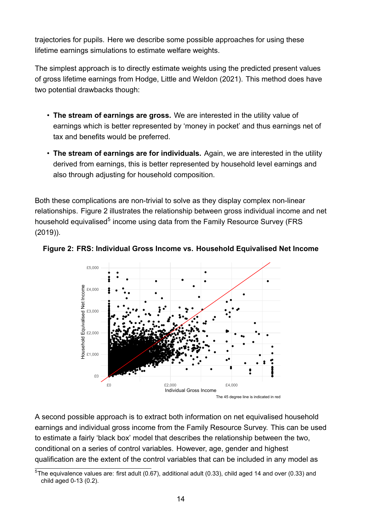trajectories for pupils. Here we describe some possible approaches for using these lifetime earnings simulations to estimate welfare weights.

The simplest approach is to directly estimate weights using the predicted present values of gross lifetime earnings from Hodge, Little and Weldon [\(2021](#page-37-0)). This method does have two potential drawbacks though:

- **The stream of earnings are gross.** We are interested in the utility value of earnings which is better represented by 'money in pocket' and thus earnings net of tax and benefits would be preferred.
- **The stream of earnings are for individuals.** Again, we are interested in the utility derived from earnings, this is better represented by household level earnings and also through adjusting for household composition.

Both these complications are non-trivial to solve as they display complex non-linear relationships. Figure [2](#page-14-0) illustrates the relationship between gross individual income and net household equivalised<sup>5</sup> income using data from the Family Resource Survey (FRS ([2019](#page-36-8))).

<span id="page-14-0"></span>



A second possible approach is to extract both information on net equivalised household earnings and individual gross income from the Family Resource Survey. This can be used to estimate a fairly 'black box' model that describes the relationship between the two, conditional on a series of control variables. However, age, gender and highest qualification are the extent of the control variables that can be included in any model as

 $5$ The equivalence values are: first adult (0.67), additional adult (0.33), child aged 14 and over (0.33) and child aged 0-13 (0.2).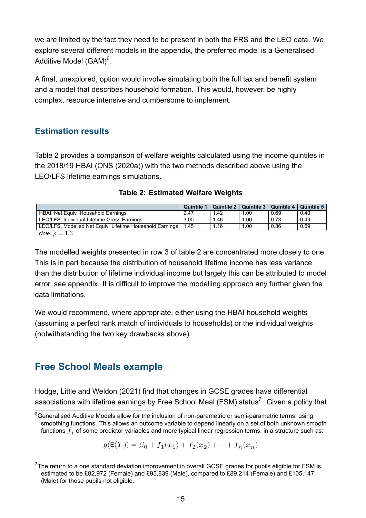we are limited by the fact they need to be present in both the FRS and the LEO data. We explore several different models in the [appendix](#page-33-2), the preferred model is a Generalised Additive Model (GAM) $^6$ .

A final, unexplored, option would involve simulating both the full tax and benefit system and a model that describes household formation. This would, however, be highly complex, resource intensive and cumbersome to implement.

#### **Estimation results**

Table [2](#page-15-0) provides a comparison of welfare weights calculated using the income quintiles in the 2018/19 HBAI (ONS ([2020a\)](#page-38-4)) with the two methods described above using the LEO/LFS lifetime earnings simulations.

<span id="page-15-0"></span>

|                                                                 | <b>Quintile 1</b> |      |      | Quintile 2   Quintile 3   Quintile 4   Quintile 5 |      |
|-----------------------------------------------------------------|-------------------|------|------|---------------------------------------------------|------|
| HBAI, Net Equiv. Household Earnings                             | 2.47              | 1.42 | 1.00 | 0.69                                              | 0.40 |
| LEO/LFS, Individual Lifetime Gross Earnings                     | 3.00              | 1.46 | 1.00 | 0.73                                              | 0.49 |
| LEO/LFS, Modelled Net Equiv. Lifetime Household Earnings   1.45 |                   | 1.16 | 1.00 | 0.86                                              | 0.69 |
| $M$ ote: $\alpha = 1, 2$                                        |                   |      |      |                                                   |      |

|  | <b>Table 2: Estimated Welfare Weights</b> |  |  |
|--|-------------------------------------------|--|--|
|--|-------------------------------------------|--|--|

*Note:*  $\rho = 1.3$ 

The modelled weights presented in row 3 of table [2](#page-15-0) are concentrated more closely to one. This is in part because the distribution of household lifetime income has less variance than the distribution of lifetime individual income but largely this can be attributed to model error, see [appendix](#page-33-3). It is difficult to improve the modelling approach any further given the data limitations.

We would recommend, where appropriate, either using the HBAI household weights (assuming a perfect rank match of individuals to households) or the individual weights (notwithstanding the two key drawbacks above).

# **Free School Meals example**

Hodge, Little and Weldon [\(2021\)](#page-37-0) find that changes in GCSE grades have differential associations with lifetime earnings by Free School Meal (FSM) status<sup>7</sup>. Given a policy that

$$
g(\mathsf{E}(Y)) = \beta_0 + f_1(x_1) + f_2(x_2) + \cdots + f_n(x_n)
$$

 $6$ [Generalised](https://en.wikipedia.org/wiki/Generalized_additive_model) Additive Models allow for the inclusion of non-parametric or semi-parametric terms, using smoothing functions. This allows an outcome variable to depend linearly on a set of both unknown smooth functions  $f_i$  of some predictor variables and more typical linear regression terms, in a structure such as:

 $7$ The return to a one standard deviation improvement in overall GCSE grades for pupils eligible for FSM is estimated to be £82,972 (Female) and £95,839 (Male), compared to £89,214 (Female) and £105,147 (Male) for those pupils not eligible.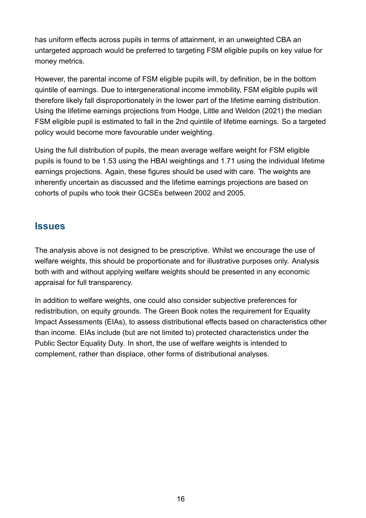has uniform effects across pupils in terms of attainment, in an unweighted CBA an untargeted approach would be preferred to targeting FSM eligible pupils on key value for money metrics.

However, the parental income of FSM eligible pupils will, by definition, be in the bottom quintile of earnings. Due to intergenerational income immobility, FSM eligible pupils will therefore likely fall disproportionately in the lower part of the lifetime earning distribution. Using the lifetime earnings projections from Hodge, Little and Weldon ([2021](#page-37-0)) the median FSM eligible pupil is estimated to fall in the 2nd quintile of lifetime earnings. So a targeted policy would become more favourable under weighting.

Using the full distribution of pupils, the mean average welfare weight for FSM eligible pupils is found to be 1.53 using the HBAI weightings and 1.71 using the individual lifetime earnings projections. Again, these figures should be used with care. The weights are inherently uncertain as discussed and the lifetime earnings projections are based on cohorts of pupils who took their GCSEs between 2002 and 2005.

#### **Issues**

The analysis above is not designed to be prescriptive. Whilst we encourage the use of welfare weights, this should be proportionate and for illustrative purposes only. Analysis both with and without applying welfare weights should be presented in any economic appraisal for full transparency.

In addition to welfare weights, one could also consider subjective preferences for redistribution, on equity grounds. The Green Book notes the requirement for Equality Impact Assessments (EIAs), to assess distributional effects based on characteristics other than income. EIAs include (but are not limited to) protected characteristics under the Public Sector Equality Duty. In short, the use of welfare weights is intended to complement, rather than displace, other forms of distributional analyses.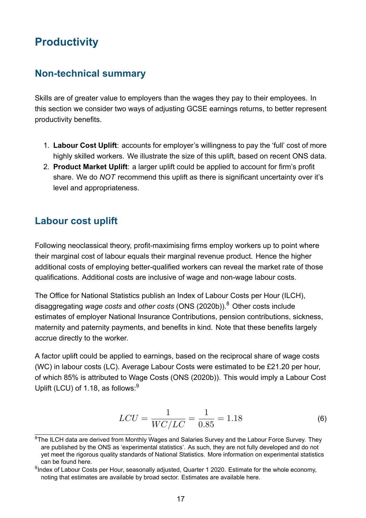# **Productivity**

#### <span id="page-17-0"></span>**Non-technical summary**

Skills are of greater value to employers than the wages they pay to their employees. In this section we consider two ways of adjusting GCSE earnings returns, to better represent productivity benefits.

- 1. **Labour Cost Uplift**: accounts for employer's willingness to pay the 'full' cost of more highly skilled workers. We illustrate the size of this uplift, based on recent ONS data.
- <span id="page-17-1"></span>2. **Product Market Uplift**: a larger uplift could be applied to account for firm's profit share. We do *NOT* recommend this uplift as there is significant uncertainty over it's level and appropriateness.

### **Labour cost uplift**

Following neoclassical theory, profit-maximising firms employ workers up to point where their marginal cost of labour equals their marginal revenue product. Hence the higher additional costs of employing better-qualified workers can reveal the market rate of those qualifications. Additional costs are inclusive of wage and non-wage labour costs.

The Office for National Statistics publish an Index of Labour Costs per Hour (ILCH), disaggregating *wage costs* and *other costs* (ONS ([2020b](#page-38-5))).<sup>8</sup> Other costs include estimates of employer National Insurance Contributions, pension contributions, sickness, maternity and paternity payments, and benefits in kind. Note that these benefits largely accrue directly to the worker.

A factor uplift could be applied to earnings, based on the reciprocal share of wage costs (WC) in labour costs (LC). Average Labour Costs were estimated to be £21.20 per hour, of which 85% is attributed to Wage Costs (ONS ([2020b\)](#page-38-5)). This would imply a Labour Cost Uplift (LCU) of 1.18, as follows: $9$ 

<span id="page-17-2"></span>
$$
LCU = \frac{1}{WC/LC} = \frac{1}{0.85} = 1.18
$$
 (6)

<sup>&</sup>lt;sup>8</sup>The ILCH data are derived from Monthly Wages and Salaries Survey and the Labour Force Survey. They are published by the ONS as 'experimental statistics'. As such, they are not fully developed and do not yet meet the rigorous quality standards of National Statistics. More information on experimental statistics can be found [here.](https://www.ons.gov.uk/methodology/methodologytopicsandstatisticalconcepts/guidetoexperimentalstatistics)

 $9$ Index of Labour Costs per Hour, seasonally adjusted, Quarter 1 2020. Estimate for the whole economy, noting that estimates are available by broad sector. Estimates are available [here.](https://www.ons.gov.uk/employmentandlabourmarket/peopleinwork/earningsandworkinghours/datasets/indexoflabourcostsperhourilchseasonallyadjusted)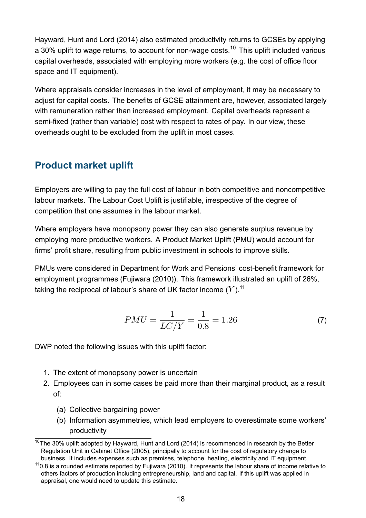Hayward, Hunt and Lord ([2014](#page-37-4)) also estimated productivity returns to GCSEs by applying a 30% uplift to wage returns, to account for non-wage costs.<sup>10</sup> This uplift included various capital overheads, associated with employing more workers (e.g. the cost of office floor space and IT equipment).

Where appraisals consider increases in the level of employment, it may be necessary to adjust for capital costs. The benefits of GCSE attainment are, however, associated largely with remuneration rather than increased employment. Capital overheads represent a semi-fixed (rather than variable) cost with respect to rates of pay. In our view, these overheads ought to be excluded from the uplift in most cases.

## **Product market uplift**

Employers are willing to pay the full cost of labour in both competitive and noncompetitive labour markets. The Labour Cost Uplift is justifiable, irrespective of the degree of competition that one assumes in the labour market.

Where employers have monopsony power they can also generate surplus revenue by employing more productive workers. A Product Market Uplift (PMU) would account for firms' profit share, resulting from public investment in schools to improve skills.

PMUs were considered in Department for Work and Pensions' cost-benefit framework for employment programmes (Fujiwara ([2010\)](#page-36-7)). This framework illustrated an uplift of 26%, taking the reciprocal of labour's share of UK factor income  $(Y)$ .<sup>11</sup>

$$
PMU = \frac{1}{LC/Y} = \frac{1}{0.8} = 1.26\tag{7}
$$

DWP noted the following issues with this uplift factor:

- 1. The extent of monopsony power is uncertain
- 2. Employees can in some cases be paid more than their marginal product, as a result of:
	- (a) Collective bargaining power
	- (b) Information asymmetries, which lead employers to overestimate some workers' productivity

 $10$ The 30% uplift adopted by Hayward, Hunt and Lord ([2014\)](#page-37-4) is recommended in research by the Better Regulation Unit in Cabinet Office [\(2005](#page-35-3)), principally to account for the cost of regulatory change to business. It includes expenses such as premises, telephone, heating, electricity and IT equipment.

 $110.8$  is a rounded estimate reported by Fujiwara ([2010](#page-36-7)). It represents the labour share of income relative to others factors of production including entrepreneurship, land and capital. If this uplift was applied in appraisal, one would need to update this estimate.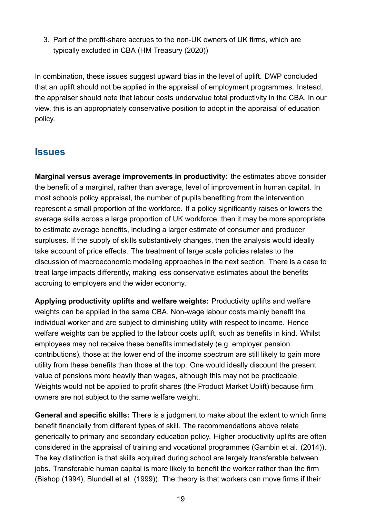<span id="page-19-0"></span>3. Part of the profit-share accrues to the non-UK owners of UK firms, which are typically excluded in CBA (HM Treasury [\(2020\)](#page-37-1))

In combination, these issues suggest upward bias in the level of uplift. DWP concluded that an uplift should not be applied in the appraisal of employment programmes. Instead, the appraiser should note that labour costs undervalue total productivity in the CBA. In our view, this is an appropriately conservative position to adopt in the appraisal of education policy.

#### **Issues**

**Marginal versus average improvements in productivity:** the estimates above consider the benefit of a marginal, rather than average, level of improvement in human capital. In most schools policy appraisal, the number of pupils benefiting from the intervention represent a small proportion of the workforce. If a policy significantly raises or lowers the average skills across a large proportion of UK workforce, then it may be more appropriate to estimate average benefits, including a larger estimate of consumer and producer surpluses. If the supply of skills substantively changes, then the analysis would ideally take account of price effects. The treatment of large scale policies relates to the discussion of macroeconomic modeling approaches in the next section. There is a case to treat large impacts differently, making less conservative estimates about the benefits accruing to employers and the wider economy.

**Applying productivity uplifts and welfare weights:** Productivity uplifts and welfare weights can be applied in the same CBA. Non-wage labour costs mainly benefit the individual worker and are subject to diminishing utility with respect to income. Hence welfare weights can be applied to the labour costs uplift, such as benefits in kind. Whilst employees may not receive these benefits immediately (e.g. employer pension contributions), those at the lower end of the income spectrum are still likely to gain more utility from these benefits than those at the top. One would ideally discount the present value of pensions more heavily than wages, although this may not be practicable. Weights would not be applied to profit shares (the Product Market Uplift) because firm owners are not subject to the same welfare weight.

**General and specific skills:** There is a judgment to make about the extent to which firms benefit financially from different types of skill. The recommendations above relate generically to primary and secondary education policy. Higher productivity uplifts are often considered in the appraisal of training and vocational programmes (Gambin et al. ([2014\)](#page-37-5)). The key distinction is that skills acquired during school are largely transferable between jobs. Transferable human capital is more likely to benefit the worker rather than the firm (Bishop ([1994](#page-35-4)); Blundell et al. ([1999\)](#page-35-5)). The theory is that workers can move firms if their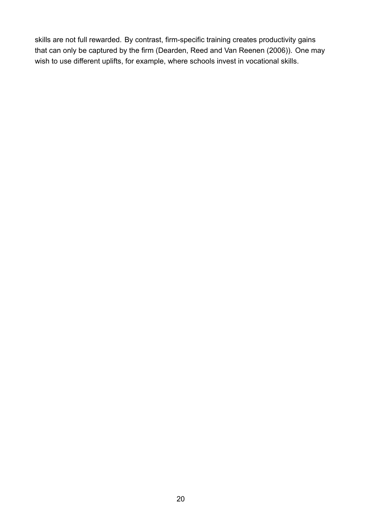skills are not full rewarded. By contrast, firm-specific training creates productivity gains that can only be captured by the firm (Dearden, Reed and Van Reenen ([2006\)](#page-36-9)). One may wish to use different uplifts, for example, where schools invest in vocational skills.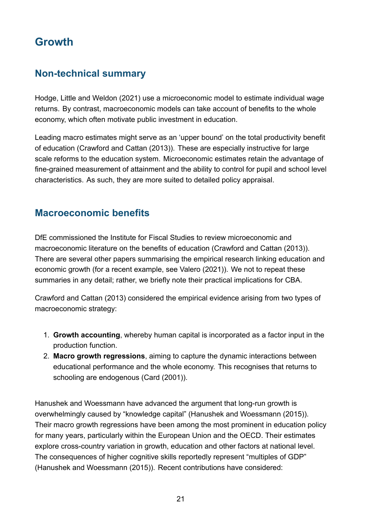# **Growth**

## **Non-technical summary**

<span id="page-21-0"></span>Hodge, Little and Weldon [\(2021\)](#page-37-0) use a microeconomic model to estimate individual wage returns. By contrast, macroeconomic models can take account of benefits to the whole economy, which often motivate public investment in education.

Leading macro estimates might serve as an 'upper bound' on the total productivity benefit of education (Crawford and Cattan ([2013](#page-35-6))). These are especially instructive for large scale reforms to the education system. Microeconomic estimates retain the advantage of fine-grained measurement of attainment and the ability to control for pupil and school level characteristics. As such, they are more suited to detailed policy appraisal.

## **Macroeconomic benefits**

DfE commissioned the Institute for Fiscal Studies to review microeconomic and macroeconomic literature on the benefits of education (Crawford and Cattan ([2013\)](#page-35-6)). There are several other papers summarising the empirical research linking education and economic growth (for a recent example, see Valero ([2021](#page-39-1))). We not to repeat these summaries in any detail; rather, we briefly note their practical implications for CBA.

Crawford and Cattan [\(2013\)](#page-35-6) considered the empirical evidence arising from two types of macroeconomic strategy:

- 1. **Growth accounting**, whereby human capital is incorporated as a factor input in the production function.
- 2. **Macro growth regressions**, aiming to capture the dynamic interactions between educational performance and the whole economy. This recognises that returns to schooling are endogenous (Card [\(2001\)](#page-35-7)).

Hanushek and Woessmann have advanced the argument that long-run growth is overwhelmingly caused by "knowledge capital" (Hanushek and Woessmann [\(2015](#page-37-6))). Their macro growth regressions have been among the most prominent in education policy for many years, particularly within the European Union and the OECD. Their estimates explore cross-country variation in growth, education and other factors at national level. The consequences of higher cognitive skills reportedly represent "multiples of GDP" (Hanushek and Woessmann ([2015](#page-37-6))). Recent contributions have considered: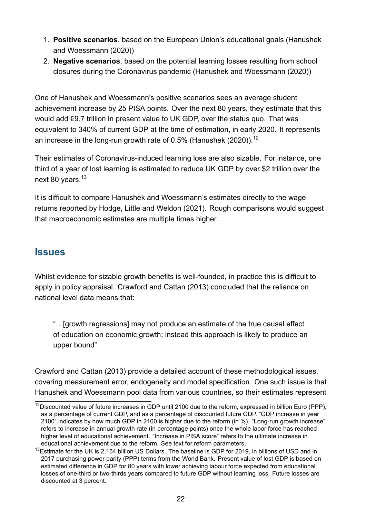- 1. **Positive scenarios**, based on the European Union's educational goals (Hanushek and Woessmann [\(2020\)](#page-37-7))
- <span id="page-22-0"></span>2. **Negative scenarios**, based on the potential learning losses resulting from school closures during the Coronavirus pandemic (Hanushek and Woessmann ([2020](#page-37-8)))

One of Hanushek and Woessmann's positive scenarios sees an average student achievement increase by 25 PISA points. Over the next 80 years, they estimate that this would add €9.7 trillion in present value to UK GDP, over the status quo. That was equivalent to 340% of current GDP at the time of estimation, in early 2020. It represents an increase in the long-run growth rate of 0.5% (Hanushek ([2020](#page-37-7))).<sup>12</sup>

Their estimates of Coronavirus-induced learning loss are also sizable. For instance, one third of a year of lost learning is estimated to reduce UK GDP by over \$2 trillion over the next 80 years.<sup>13</sup>

It is difficult to compare Hanushek and Woessmann's estimates directly to the wage returns reported by Hodge, Little and Weldon [\(2021\)](#page-37-0). Rough comparisons would suggest that macroeconomic estimates are multiple times higher.

#### **Issues**

Whilst evidence for sizable growth benefits is well-founded, in practice this is difficult to apply in policy appraisal. Crawford and Cattan ([2013\)](#page-35-6) concluded that the reliance on national level data means that:

"…[growth regressions] may not produce an estimate of the true causal effect of education on economic growth; instead this approach is likely to produce an upper bound"

Crawford and Cattan [\(2013\)](#page-35-6) provide a detailed account of these methodological issues, covering measurement error, endogeneity and model specification. One such issue is that Hanushek and Woessmann pool data from various countries, so their estimates represent

 $12$ Discounted value of future increases in GDP until 2100 due to the reform, expressed in billion Euro (PPP), as a percentage of current GDP, and as a percentage of discounted future GDP. "GDP increase in year 2100" indicates by how much GDP in 2100 is higher due to the reform (in %). "Long-run growth increase" refers to increase in annual growth rate (in percentage points) once the whole labor force has reached higher level of educational achievement. "Increase in PISA score" refers to the ultimate increase in educational achievement due to the reform. See text for reform parameters.

 $^{13}$ Estimate for the UK is 2.154 billion US Dollars. The baseline is GDP for 2019, in billions of USD and in 2017 purchasing power parity (PPP) terms from the World Bank. Present value of lost GDP is based on estimated difference in GDP for 80 years with lower achieving labour force expected from educational losses of one-third or two-thirds years compared to future GDP without learning loss. Future losses are discounted at 3 percent.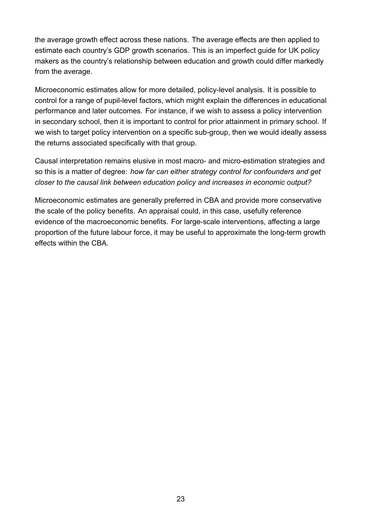the average growth effect across these nations. The average effects are then applied to estimate each country's GDP growth scenarios. This is an imperfect guide for UK policy makers as the country's relationship between education and growth could differ markedly from the average.

Microeconomic estimates allow for more detailed, policy-level analysis. It is possible to control for a range of pupil-level factors, which might explain the differences in educational performance and later outcomes. For instance, if we wish to assess a policy intervention in secondary school, then it is important to control for prior attainment in primary school. If we wish to target policy intervention on a specific sub-group, then we would ideally assess the returns associated specifically with that group.

Causal interpretation remains elusive in most macro- and micro-estimation strategies and so this is a matter of degree: *how far can either strategy control for confounders and get closer to the causal link between education policy and increases in economic output?*

Microeconomic estimates are generally preferred in CBA and provide more conservative the scale of the policy benefits. An appraisal could, in this case, usefully reference evidence of the macroeconomic benefits. For large-scale interventions, affecting a large proportion of the future labour force, it may be useful to approximate the long-term growth effects within the CBA.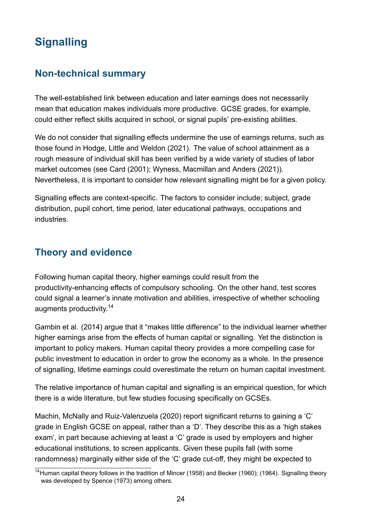# **Signalling**

# **Non-technical summary**

<span id="page-24-0"></span>The well-established link between education and later earnings does not necessarily mean that education makes individuals more productive. GCSE grades, for example, could either reflect skills acquired in school, or signal pupils' pre-existing abilities.

We do not consider that signalling effects undermine the use of earnings returns, such as those found in Hodge, Little and Weldon [\(2021](#page-37-0)). The value of school attainment as a rough measure of individual skill has been verified by a wide variety of studies of labor market outcomes (see Card [\(2001](#page-35-7)); Wyness, Macmillan and Anders [\(2021\)](#page-39-2)). Nevertheless, it is important to consider how relevant signalling might be for a given policy.

Signalling effects are context-specific. The factors to consider include; subject, grade distribution, pupil cohort, time period, later educational pathways, occupations and industries.

# **Theory and evidence**

Following human capital theory, higher earnings could result from the productivity-enhancing effects of compulsory schooling. On the other hand, test scores could signal a learner's innate motivation and abilities, irrespective of whether schooling augments productivity.<sup>14</sup>

Gambin et al. ([2014\)](#page-37-5) argue that it "makes little difference" to the individual learner whether higher earnings arise from the effects of human capital or signalling. Yet the distinction is important to policy makers. Human capital theory provides a more compelling case for public investment to education in order to grow the economy as a whole. In the presence of signalling, lifetime earnings could overestimate the return on human capital investment.

The relative importance of human capital and signalling is an empirical question, for which there is a wide literature, but few studies focusing specifically on GCSEs.

Machin, McNally and Ruiz-Valenzuela [\(2020](#page-38-6)) report significant returns to gaining a 'C' grade in English GCSE on appeal, rather than a 'D'. They describe this as a 'high stakes exam', in part because achieving at least a 'C' grade is used by employers and higher educational institutions, to screen applicants. Given these pupils fall (with some randomness) marginally either side of the 'C' grade cut-off, they might be expected to

<sup>&</sup>lt;sup>14</sup> Human capital theory follows in the tradition of Mincer [\(1958](#page-38-7)) and Becker ([1960\)](#page-35-8); ([1964](#page-35-9)). Signalling theory was developed by Spence [\(1973](#page-39-3)) among others.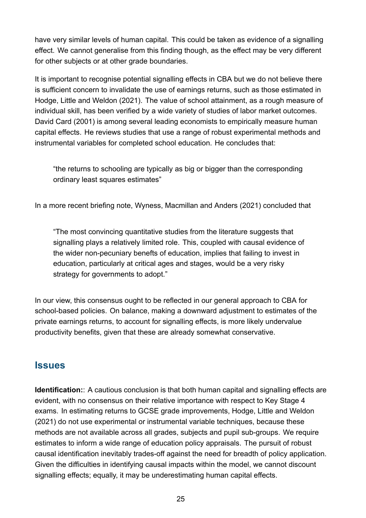have very similar levels of human capital. This could be taken as evidence of a signalling effect. We cannot generalise from this finding though, as the effect may be very different for other subjects or at other grade boundaries.

It is important to recognise potential signalling effects in CBA but we do not believe there is sufficient concern to invalidate the use of earnings returns, such as those estimated in Hodge, Little and Weldon [\(2021\)](#page-37-0). The value of school attainment, as a rough measure of individual skill, has been verified by a wide variety of studies of labor market outcomes. David Card ([2001](#page-35-7)) is among several leading economists to empirically measure human capital effects. He reviews studies that use a range of robust experimental methods and instrumental variables for completed school education. He concludes that:

"the returns to schooling are typically as big or bigger than the corresponding ordinary least squares estimates"

In a more recent briefing note, Wyness, Macmillan and Anders [\(2021\)](#page-39-2) concluded that

"The most convincing quantitative studies from the literature suggests that signalling plays a relatively limited role. This, coupled with causal evidence of the wider non-pecuniary benefts of education, implies that failing to invest in education, particularly at critical ages and stages, would be a very risky strategy for governments to adopt."

In our view, this consensus ought to be reflected in our general approach to CBA for school-based policies. On balance, making a downward adjustment to estimates of the private earnings returns, to account for signalling effects, is more likely undervalue productivity benefits, given that these are already somewhat conservative.

#### **Issues**

**Identification::** A cautious conclusion is that both human capital and signalling effects are evident, with no consensus on their relative importance with respect to Key Stage 4 exams. In estimating returns to GCSE grade improvements, Hodge, Little and Weldon ([2021](#page-37-0)) do not use experimental or instrumental variable techniques, because these methods are not available across all grades, subjects and pupil sub-groups. We require estimates to inform a wide range of education policy appraisals. The pursuit of robust causal identification inevitably trades-off against the need for breadth of policy application. Given the difficulties in identifying causal impacts within the model, we cannot discount signalling effects; equally, it may be underestimating human capital effects.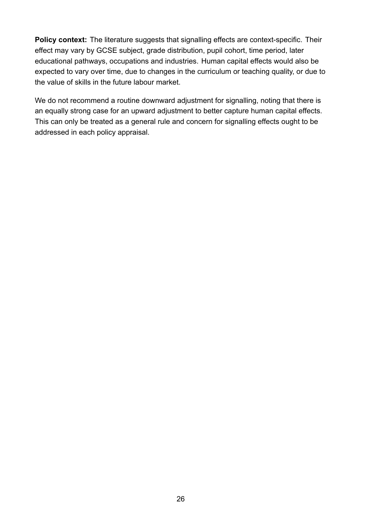**Policy context:** The literature suggests that signalling effects are context-specific. Their effect may vary by GCSE subject, grade distribution, pupil cohort, time period, later educational pathways, occupations and industries. Human capital effects would also be expected to vary over time, due to changes in the curriculum or teaching quality, or due to the value of skills in the future labour market.

We do not recommend a routine downward adjustment for signalling, noting that there is an equally strong case for an upward adjustment to better capture human capital effects. This can only be treated as a general rule and concern for signalling effects ought to be addressed in each policy appraisal.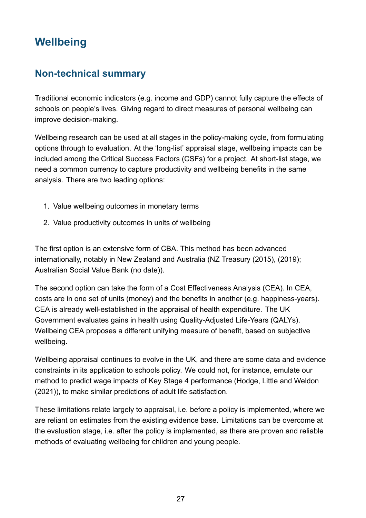# <span id="page-27-2"></span>**Wellbeing**

## **Non-technical summary**

<span id="page-27-0"></span>Traditional economic indicators (e.g. income and GDP) cannot fully capture the effects of schools on people's lives. Giving regard to direct measures of personal wellbeing can improve decision-making.

Wellbeing research can be used at all stages in the policy-making cycle, from formulating options through to evaluation. At the 'long-list' appraisal stage, wellbeing impacts can be included among the Critical Success Factors (CSFs) for a project. At short-list stage, we need a common currency to capture productivity and wellbeing benefits in the same analysis. There are two leading options:

- 1. Value wellbeing outcomes in monetary terms
- <span id="page-27-1"></span>2. Value productivity outcomes in units of wellbeing

The first option is an extensive form of CBA. This method has been advanced internationally, notably in New Zealand and Australia (NZ Treasury ([2015](#page-38-8)), [\(2019\)](#page-38-9); Australian Social Value Bank (no [date\)](#page-35-10)).

The second option can take the form of a Cost Effectiveness Analysis (CEA). In CEA, costs are in one set of units (money) and the benefits in another (e.g. happiness-years). CEA is already well-established in the appraisal of health expenditure. The UK Government evaluates gains in health using Quality-Adjusted Life-Years (QALYs). Wellbeing CEA proposes a different unifying measure of benefit, based on subjective wellbeing.

Wellbeing appraisal continues to evolve in the UK, and there are some data and evidence constraints in its application to schools policy. We could not, for instance, emulate our method to predict wage impacts of Key Stage 4 performance (Hodge, Little and Weldon ([2021](#page-37-0))), to make similar predictions of adult life satisfaction.

These limitations relate largely to appraisal, i.e. before a policy is implemented, where we are reliant on estimates from the existing evidence base. Limitations can be overcome at the evaluation stage, i.e. after the policy is implemented, as there are proven and reliable methods of evaluating wellbeing for children and young people.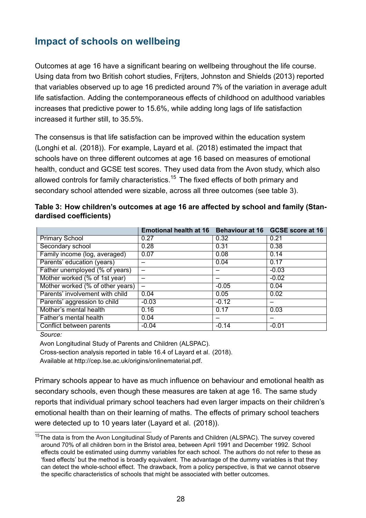## **Impact of schools on wellbeing**

Outcomes at age 16 have a significant bearing on wellbeing throughout the life course. Using data from two British cohort studies, Frijters, Johnston and Shields ([2013](#page-36-2)) reported that variables observed up to age 16 predicted around 7% of the variation in average adult life satisfaction. Adding the contemporaneous effects of childhood on adulthood variables increases that predictive power to 15.6%, while adding long lags of life satisfaction increased it further still, to 35.5%.

The consensus is that life satisfaction can be improved within the education system (Longhi et al. [\(2018\)](#page-38-10)). For example, Layard et al. ([2018](#page-38-3)) estimated the impact that schools have on three different outcomes at age 16 based on measures of emotional health, conduct and GCSE test scores. They used data from the Avon study, which also allowed controls for family characteristics.<sup>15</sup> The fixed effects of both primary and secondary school attended were sizable, across all three outcomes (see table [3](#page-28-0)).

<span id="page-28-0"></span>

|                                  | <b>Emotional health at 16</b> | Behaviour at 16 | <b>GCSE score at 16</b> |
|----------------------------------|-------------------------------|-----------------|-------------------------|
| <b>Primary School</b>            | 0.27                          | 0.32            | 0.21                    |
| Secondary school                 | 0.28                          | 0.31            | 0.38                    |
| Family income (log, averaged)    | 0.07                          | 0.08            | 0.14                    |
| Parents' education (years)       |                               | 0.04            | 0.17                    |
| Father unemployed (% of years)   |                               |                 | $-0.03$                 |
| Mother worked (% of 1st year)    |                               |                 | $-0.02$                 |
| Mother worked (% of other years) |                               | $-0.05$         | 0.04                    |
| Parents' involvement with child  | 0.04                          | 0.05            | 0.02                    |
| Parents' aggression to child     | $-0.03$                       | $-0.12$         |                         |
| Mother's mental health           | 0.16                          | 0.17            | 0.03                    |
| Father's mental health           | 0.04                          |                 |                         |
| Conflict between parents         | $-0.04$                       | $-0.14$         | $-0.01$                 |

| Table 3: How children's outcomes at age 16 are affected by school and family (Stan- |  |
|-------------------------------------------------------------------------------------|--|
| dardised coefficients)                                                              |  |

*Source:*

Avon Longitudinal Study of Parents and Children (ALSPAC).

Cross-section analysis reported in table 16.4 of Layard et al. ([2018](#page-38-3)).

Available at <http://cep.lse.ac.uk/origins/onlinematerial.pdf>.

Primary schools appear to have as much influence on behaviour and emotional health as secondary schools, even though these measures are taken at age 16. The same study reports that individual primary school teachers had even larger impacts on their children's emotional health than on their learning of maths. The effects of primary school teachers were detected up to 10 years later (Layard et al. ([2018\)](#page-38-3)).

<sup>&</sup>lt;sup>15</sup>The data is from the Avon Longitudinal Study of Parents and Children (ALSPAC). The survey covered around 70% of all children born in the Bristol area, between April 1991 and December 1992. School effects could be estimated using dummy variables for each school. The authors do not refer to these as 'fixed effects' but the method is broadly equivalent. The advantage of the dummy variables is that they can detect the whole-school effect. The drawback, from a policy perspective, is that we cannot observe the specific characteristics of schools that might be associated with better outcomes.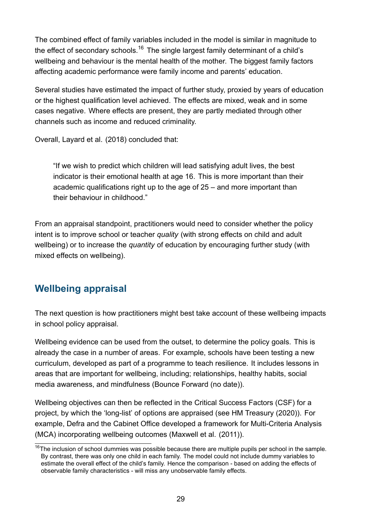The combined effect of family variables included in the model is similar in magnitude to the effect of secondary schools.<sup>16</sup> The single largest family determinant of a child's wellbeing and behaviour is the mental health of the mother. The biggest family factors affecting academic performance were family income and parents' education.

Several studies have estimated the impact of further study, proxied by years of education or the highest qualification level achieved. The effects are mixed, weak and in some cases negative. Where effects are present, they are partly mediated through other channels such as income and reduced criminality.

Overall, Layard et al. [\(2018](#page-38-3)) concluded that:

"If we wish to predict which children will lead satisfying adult lives, the best indicator is their emotional health at age 16. This is more important than their academic qualifications right up to the age of 25 – and more important than their behaviour in childhood."

From an appraisal standpoint, practitioners would need to consider whether the policy intent is to improve school or teacher *quality* (with strong effects on child and adult wellbeing) or to increase the *quantity* of education by encouraging further study (with mixed effects on wellbeing).

## **Wellbeing appraisal**

The next question is how practitioners might best take account of these wellbeing impacts in school policy appraisal.

Wellbeing evidence can be used from the outset, to determine the policy goals. This is already the case in a number of areas. For example, schools have been testing a new curriculum, developed as part of a programme to teach resilience. It includes lessons in areas that are important for wellbeing, including; relationships, healthy habits, social media awareness, and mindfulness (Bounce Forward (no [date](#page-35-11))).

Wellbeing objectives can then be reflected in the Critical Success Factors (CSF) for a project, by which the 'long-list' of options are appraised (see HM Treasury ([2020\)](#page-37-1)). For example, Defra and the Cabinet Office developed a framework for Multi-Criteria Analysis (MCA) incorporating wellbeing outcomes (Maxwell et al. [\(2011\)](#page-38-11)).

 $16$ The inclusion of school dummies was possible because there are multiple pupils per school in the sample. By contrast, there was only one child in each family. The model could not include dummy variables to estimate the overall effect of the child's family. Hence the comparison - based on adding the effects of observable family characteristics - will miss any unobservable family effects.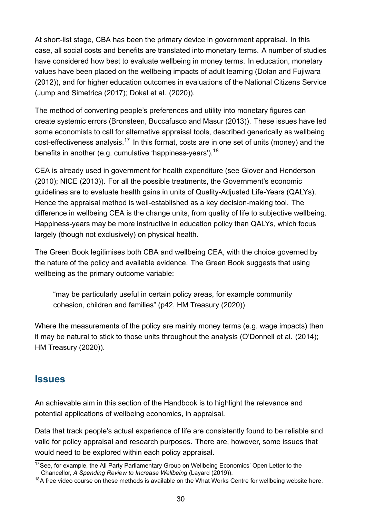At short-list stage, CBA has been the primary device in government appraisal. In this case, all social costs and benefits are translated into monetary terms. A number of studies have considered how best to evaluate wellbeing in money terms. In education, monetary values have been placed on the wellbeing impacts of adult learning (Dolan and Fujiwara ([2012](#page-36-10))), and for higher education outcomes in evaluations of the National Citizens Service (Jump and Simetrica ([2017](#page-37-9)); Dokal et al. [\(2020\)](#page-36-11)).

The method of converting people's preferences and utility into monetary figures can create systemic errors (Bronsteen, Buccafusco and Masur ([2013](#page-35-12))). These issues have led some economists to call for alternative appraisal tools, described generically as wellbeing cost-effectiveness analysis.<sup>17</sup> In this format, costs are in one set of units (money) and the benefits in another (e.g. cumulative 'happiness-years').<sup>18</sup>

CEA is already used in government for health expenditure (see Glover and Henderson ([2010](#page-37-10)); NICE ([2013](#page-38-12))). For all the possible treatments, the Government's economic guidelines are to evaluate health gains in units of Quality-Adjusted Life-Years (QALYs). Hence the appraisal method is well-established as a key decision-making tool. The difference in wellbeing CEA is the change units, from quality of life to subjective wellbeing. Happiness-years may be more instructive in education policy than QALYs, which focus largely (though not exclusively) on physical health.

The Green Book legitimises both CBA and wellbeing CEA, with the choice governed by the nature of the policy and available evidence. The Green Book suggests that using wellbeing as the primary outcome variable:

"may be particularly useful in certain policy areas, for example community cohesion, children and families" (p42, HM Treasury ([2020](#page-37-1)))

Where the measurements of the policy are mainly money terms (e.g. wage impacts) then it may be natural to stick to those units throughout the analysis (O'Donnell et al. [\(2014](#page-38-1)); HM Treasury ([2020](#page-37-1))).

#### **Issues**

An achievable aim in this section of the Handbook is to highlight the relevance and potential applications of wellbeing economics, in appraisal.

Data that track people's actual experience of life are consistently found to be reliable and valid for policy appraisal and research purposes. There are, however, some issues that would need to be explored within each policy appraisal.

<sup>&</sup>lt;sup>17</sup>See, for example, the All Party Parliamentary Group on Wellbeing Economics' Open Letter to the Chancellor, *A Spending Review to Increase Wellbeing* (Layard [\(2019](#page-37-11))).

 $18A$  free video course on these methods is available on the What Works Centre for wellbeing website [here.](https://whatworkswellbeing.org/resources/policy-tools-wellbeing-impacts-and-value-for-money/)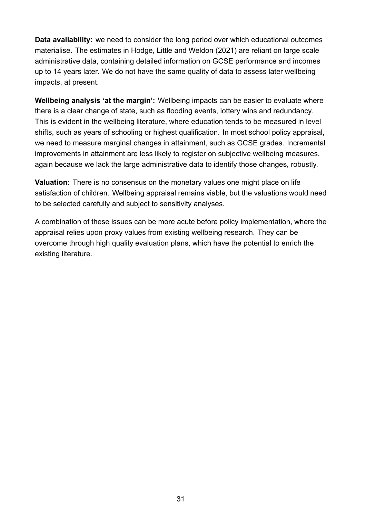**Data availability:** we need to consider the long period over which educational outcomes materialise. The estimates in Hodge, Little and Weldon ([2021](#page-37-0)) are reliant on large scale administrative data, containing detailed information on GCSE performance and incomes up to 14 years later. We do not have the same quality of data to assess later wellbeing impacts, at present.

**Wellbeing analysis 'at the margin':** Wellbeing impacts can be easier to evaluate where there is a clear change of state, such as flooding events, lottery wins and redundancy. This is evident in the wellbeing literature, where education tends to be measured in level shifts, such as years of schooling or highest qualification. In most school policy appraisal, we need to measure marginal changes in attainment, such as GCSE grades. Incremental improvements in attainment are less likely to register on subjective wellbeing measures, again because we lack the large administrative data to identify those changes, robustly.

**Valuation:** There is no consensus on the monetary values one might place on life satisfaction of children. Wellbeing appraisal remains viable, but the valuations would need to be selected carefully and subject to sensitivity analyses.

A combination of these issues can be more acute before policy implementation, where the appraisal relies upon proxy values from existing wellbeing research. They can be overcome through high quality evaluation plans, which have the potential to enrich the existing literature.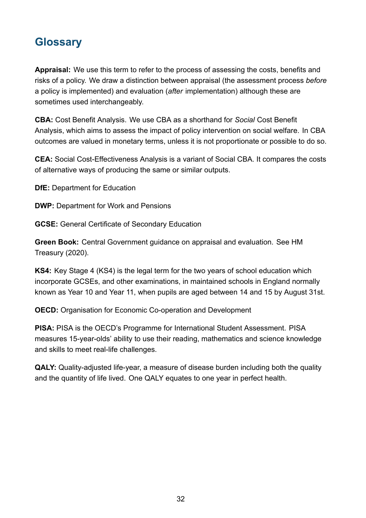# **Glossary**

**Appraisal:** We use this term to refer to the process of assessing the costs, benefits and risks of a policy. We draw a distinction between appraisal (the assessment process *before* a policy is implemented) and evaluation (*after* implementation) although these are sometimes used interchangeably.

**CBA:** Cost Benefit Analysis. We use CBA as a shorthand for *Social* Cost Benefit Analysis, which aims to assess the impact of policy intervention on social welfare. In CBA outcomes are valued in monetary terms, unless it is not proportionate or possible to do so.

**CEA:** Social Cost-Effectiveness Analysis is a variant of Social CBA. It compares the costs of alternative ways of producing the same or similar outputs.

**DfE:** Department for Education

**DWP:** Department for Work and Pensions

**GCSE:** General Certificate of Secondary Education

**Green Book:** Central Government guidance on appraisal and evaluation. See HM Treasury ([2020](#page-37-1)).

**KS4:** Key Stage 4 (KS4) is the legal term for the two years of school education which incorporate GCSEs, and other examinations, in maintained schools in England normally known as Year 10 and Year 11, when pupils are aged between 14 and 15 by August 31st.

**OECD:** Organisation for Economic Co-operation and Development

**PISA:** PISA is the OECD's Programme for International Student Assessment. PISA measures 15-year-olds' ability to use their reading, mathematics and science knowledge and skills to meet real-life challenges.

**QALY:** Quality-adjusted life-year, a measure of disease burden including both the quality and the quantity of life lived. One QALY equates to one year in perfect health.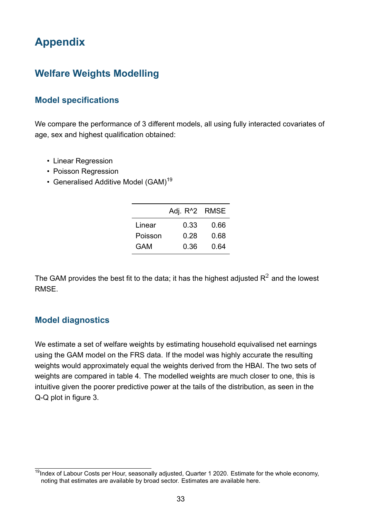# **Appendix**

# <span id="page-33-0"></span>**Welfare Weights Modelling**

#### <span id="page-33-2"></span>**Model specifications**

We compare the performance of 3 different models, all using fully interacted covariates of age, sex and highest qualification obtained:

- Linear Regression
- Poisson Regression
- <span id="page-33-1"></span>• Generalised Additive Model (GAM)<sup>19</sup>

|         | Adj. R <sup>^</sup> 2 RMSE |      |
|---------|----------------------------|------|
| Linear  | 0.33                       | 0.66 |
| Poisson | 0.28                       | 0.68 |
| GAM     | 0.36                       | 0.64 |

<span id="page-33-3"></span>The GAM provides the best fit to the data; it has the highest adjusted  $R^2$  and the lowest **RMSF** 

#### **Model diagnostics**

We estimate a set of welfare weights by estimating household equivalised net earnings using the GAM model on the FRS data. If the model was highly accurate the resulting weights would approximately equal the weights derived from the HBAI. The two sets of weights are compared in table [4](#page-34-0). The modelled weights are much closer to one, this is intuitive given the poorer predictive power at the tails of the distribution, as seen in the Q-Q plot in figure [3.](#page-34-1)

<sup>&</sup>lt;sup>19</sup>Index of Labour Costs per Hour, seasonally adjusted, Quarter 1 2020. Estimate for the whole economy, noting that estimates are available by broad sector. Estimates are available [here.](https://www.ons.gov.uk/employmentandlabourmarket/peopleinwork/earningsandworkinghours/datasets/indexoflabourcostsperhourilchseasonallyadjusted)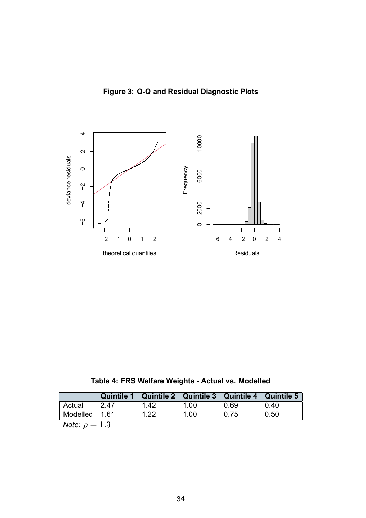**Figure 3: Q-Q and Residual Diagnostic Plots**

<span id="page-34-1"></span>

**Table 4: FRS Welfare Weights - Actual vs. Modelled**

<span id="page-34-0"></span>

|                                     | <b>Quintile 1</b> |      | Quintile 2   Quintile 3   Quintile 4 |      | <b>Quintile 5</b> |
|-------------------------------------|-------------------|------|--------------------------------------|------|-------------------|
| Actual                              | 2.47              | 1.42 | 1.00                                 | 0.69 | 0.40              |
| $\sqrt{3}$ Modelled $\sqrt{3}$ 1.61 |                   | 1.22 | 1.00                                 | 0.75 | 0.50              |
| $M = 1 - 1$                         |                   |      |                                      |      |                   |

*Note:*  $\rho = 1.3$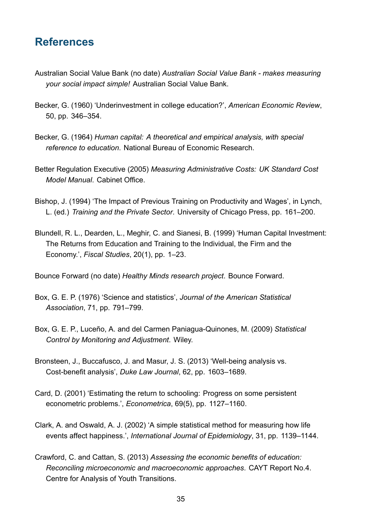# **References**

- <span id="page-35-10"></span>Australian Social Value Bank (no date) *Australian Social Value Bank - makes measuring your social impact simple!* Australian Social Value Bank.
- <span id="page-35-8"></span>Becker, G. (1960) 'Underinvestment in college education?', *American Economic Review*, 50, pp. 346–354.
- <span id="page-35-9"></span>Becker, G. (1964) *Human capital: A theoretical and empirical analysis, with special reference to education*. National Bureau of Economic Research.
- <span id="page-35-3"></span>Better Regulation Executive (2005) *Measuring Administrative Costs: UK Standard Cost Model Manual*. Cabinet Office.
- <span id="page-35-4"></span>Bishop, J. (1994) 'The Impact of Previous Training on Productivity and Wages', in Lynch, L. (ed.) *Training and the Private Sector*. University of Chicago Press, pp. 161–200.
- <span id="page-35-5"></span>Blundell, R. L., Dearden, L., Meghir, C. and Sianesi, B. (1999) 'Human Capital Investment: The Returns from Education and Training to the Individual, the Firm and the Economy.', *Fiscal Studies*, 20(1), pp. 1–23.

<span id="page-35-11"></span>Bounce Forward (no date) *Healthy Minds research project*. Bounce Forward.

- <span id="page-35-1"></span>Box, G. E. P. (1976) 'Science and statistics', *Journal of the American Statistical Association*, 71, pp. 791–799.
- <span id="page-35-0"></span>Box, G. E. P., Luceño, A. and del Carmen Paniagua-Quinones, M. (2009) *Statistical Control by Monitoring and Adjustment*. Wiley.
- <span id="page-35-12"></span>Bronsteen, J., Buccafusco, J. and Masur, J. S. (2013) 'Well-being analysis vs. Cost-benefit analysis', *Duke Law Journal*, 62, pp. 1603–1689.
- <span id="page-35-7"></span>Card, D. (2001) 'Estimating the return to schooling: Progress on some persistent econometric problems.', *Econometrica*, 69(5), pp. 1127–1160.
- <span id="page-35-2"></span>Clark, A. and Oswald, A. J. (2002) 'A simple statistical method for measuring how life events affect happiness.', *International Journal of Epidemiology*, 31, pp. 1139–1144.
- <span id="page-35-6"></span>Crawford, C. and Cattan, S. (2013) *Assessing the economic benefits of education: Reconciling microeconomic and macroeconomic approaches*. CAYT Report No.4. Centre for Analysis of Youth Transitions.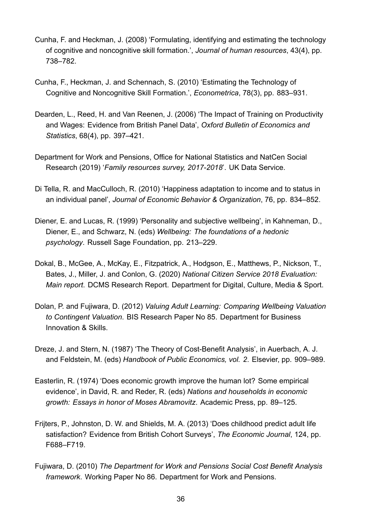- <span id="page-36-3"></span>Cunha, F. and Heckman, J. (2008) 'Formulating, identifying and estimating the technology of cognitive and noncognitive skill formation.', *Journal of human resources*, 43(4), pp. 738–782.
- <span id="page-36-4"></span>Cunha, F., Heckman, J. and Schennach, S. (2010) 'Estimating the Technology of Cognitive and Noncognitive Skill Formation.', *Econometrica*, 78(3), pp. 883–931.
- <span id="page-36-9"></span>Dearden, L., Reed, H. and Van Reenen, J. (2006) 'The Impact of Training on Productivity and Wages: Evidence from British Panel Data', *Oxford Bulletin of Economics and Statistics*, 68(4), pp. 397–421.
- <span id="page-36-8"></span>Department for Work and Pensions, Office for National Statistics and NatCen Social Research (2019) '*Family resources survey, 2017-2018*'. UK Data Service.
- <span id="page-36-5"></span>Di Tella, R. and MacCulloch, R. (2010) 'Happiness adaptation to income and to status in an individual panel', *Journal of Economic Behavior & Organization*, 76, pp. 834–852.
- <span id="page-36-1"></span>Diener, E. and Lucas, R. (1999) 'Personality and subjective wellbeing', in Kahneman, D., Diener, E., and Schwarz, N. (eds) *Wellbeing: The foundations of a hedonic psychology*. Russell Sage Foundation, pp. 213–229.
- <span id="page-36-11"></span>Dokal, B., McGee, A., McKay, E., Fitzpatrick, A., Hodgson, E., Matthews, P., Nickson, T., Bates, J., Miller, J. and Conlon, G. (2020) *National Citizen Service 2018 Evaluation: Main report*. DCMS Research Report. Department for Digital, Culture, Media & Sport.
- <span id="page-36-10"></span>Dolan, P. and Fujiwara, D. (2012) *Valuing Adult Learning: Comparing Wellbeing Valuation to Contingent Valuation*. BIS Research Paper No 85. Department for Business Innovation & Skills.
- <span id="page-36-0"></span>Dreze, J. and Stern, N. (1987) 'The Theory of Cost-Benefit Analysis', in Auerbach, A. J. and Feldstein, M. (eds) *Handbook of Public Economics, vol. 2*. Elsevier, pp. 909–989.
- <span id="page-36-6"></span>Easterlin, R. (1974) 'Does economic growth improve the human lot? Some empirical evidence', in David, R. and Reder, R. (eds) *Nations and households in economic growth: Essays in honor of Moses Abramovitz*. Academic Press, pp. 89–125.
- <span id="page-36-2"></span>Frijters, P., Johnston, D. W. and Shields, M. A. (2013) 'Does childhood predict adult life satisfaction? Evidence from British Cohort Surveys', *The Economic Journal*, 124, pp. F688–F719.
- <span id="page-36-7"></span>Fujiwara, D. (2010) *The Department for Work and Pensions Social Cost Benefit Analysis framework*. Working Paper No 86. Department for Work and Pensions.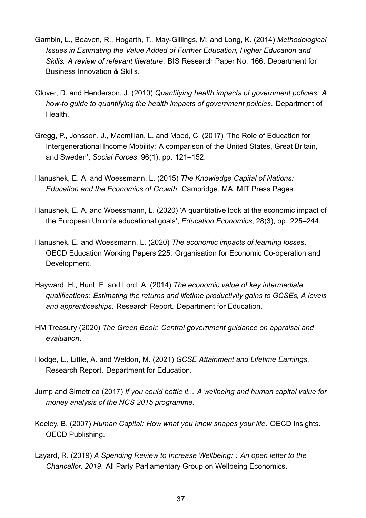- <span id="page-37-5"></span>Gambin, L., Beaven, R., Hogarth, T., May-Gillings, M. and Long, K. (2014) *Methodological Issues in Estimating the Value Added of Further Education, Higher Education and Skills: A review of relevant literature*. BIS Research Paper No. 166. Department for Business Innovation & Skills.
- <span id="page-37-10"></span>Glover, D. and Henderson, J. (2010) *Quantifying health impacts of government policies: A how-to guide to quantifying the health impacts of government policies*. Department of **Health**
- <span id="page-37-3"></span>Gregg, P., Jonsson, J., Macmillan, L. and Mood, C. (2017) 'The Role of Education for Intergenerational Income Mobility: A comparison of the United States, Great Britain, and Sweden', *Social Forces*, 96(1), pp. 121–152.
- <span id="page-37-6"></span>Hanushek, E. A. and Woessmann, L. (2015) *The Knowledge Capital of Nations: Education and the Economics of Growth*. Cambridge, MA: MIT Press Pages.
- <span id="page-37-7"></span>Hanushek, E. A. and Woessmann, L. (2020) 'A quantitative look at the economic impact of the European Union's educational goals', *Education Economics*, 28(3), pp. 225–244.
- <span id="page-37-8"></span>Hanushek, E. and Woessmann, L. (2020) *The economic impacts of learning losses*. OECD Education Working Papers 225. Organisation for Economic Co-operation and Development.
- <span id="page-37-4"></span>Hayward, H., Hunt, E. and Lord, A. (2014) *The economic value of key intermediate qualifications: Estimating the returns and lifetime productivity gains to GCSEs, A levels and apprenticeships*. Research Report. Department for Education.
- <span id="page-37-1"></span>HM Treasury (2020) *The Green Book: Central government guidance on appraisal and evaluation*.
- <span id="page-37-0"></span>Hodge, L., Little, A. and Weldon, M. (2021) *GCSE Attainment and Lifetime Earnings*. Research Report. Department for Education.
- <span id="page-37-9"></span>Jump and Simetrica (2017) *If you could bottle it... A wellbeing and human capital value for money analysis of the NCS 2015 programme*.
- <span id="page-37-2"></span>Keeley, B. (2007) *Human Capital: How what you know shapes your life*. OECD Insights. OECD Publishing.
- <span id="page-37-11"></span>Layard, R. (2019) *A Spending Review to Increase Wellbeing: : An open letter to the Chancellor, 2019*. All Party Parliamentary Group on Wellbeing Economics.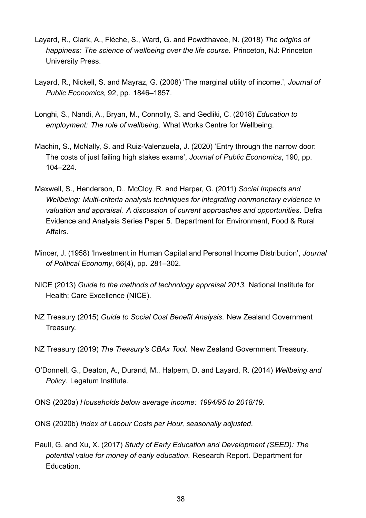- <span id="page-38-3"></span>Layard, R., Clark, A., Flèche, S., Ward, G. and Powdthavee, N. (2018) *The origins of happiness: The science of wellbeing over the life course.* Princeton, NJ: Princeton University Press.
- <span id="page-38-0"></span>Layard, R., Nickell, S. and Mayraz, G. (2008) 'The marginal utility of income.', *Journal of Public Economics,* 92, pp. 1846–1857.
- <span id="page-38-10"></span>Longhi, S., Nandi, A., Bryan, M., Connolly, S. and Gedliki, C. (2018) *Education to employment: The role of wellbeing*. What Works Centre for Wellbeing.
- <span id="page-38-6"></span>Machin, S., McNally, S. and Ruiz-Valenzuela, J. (2020) 'Entry through the narrow door: The costs of just failing high stakes exams', *Journal of Public Economics*, 190, pp. 104–224.
- <span id="page-38-11"></span>Maxwell, S., Henderson, D., McCloy, R. and Harper, G. (2011) *Social Impacts and Wellbeing: Multi-criteria analysis techniques for integrating nonmonetary evidence in valuation and appraisal. A discussion of current approaches and opportunities*. Defra Evidence and Analysis Series Paper 5. Department for Environment, Food & Rural Affairs.
- <span id="page-38-7"></span>Mincer, J. (1958) 'Investment in Human Capital and Personal Income Distribution', *Journal of Political Economy*, 66(4), pp. 281–302.
- <span id="page-38-12"></span>NICE (2013) *Guide to the methods of technology appraisal 2013*. National Institute for Health; Care Excellence (NICE).
- <span id="page-38-8"></span>NZ Treasury (2015) *Guide to Social Cost Benefit Analysis*. New Zealand Government Treasury.
- <span id="page-38-9"></span>NZ Treasury (2019) *The Treasury's CBAx Tool*. New Zealand Government Treasury.
- <span id="page-38-1"></span>O'Donnell, G., Deaton, A., Durand, M., Halpern, D. and Layard, R. (2014) *Wellbeing and Policy*. Legatum Institute.
- <span id="page-38-4"></span>ONS (2020a) *Households below average income: 1994/95 to 2018/19*.
- <span id="page-38-5"></span>ONS (2020b) *Index of Labour Costs per Hour, seasonally adjusted*.
- <span id="page-38-2"></span>Paull, G. and Xu, X. (2017) *Study of Early Education and Development (SEED): The potential value for money of early education*. Research Report. Department for Education.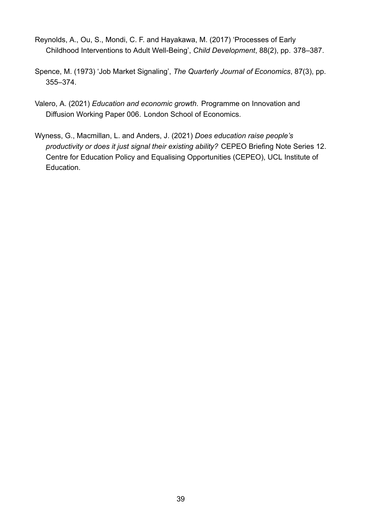- <span id="page-39-0"></span>Reynolds, A., Ou, S., Mondi, C. F. and Hayakawa, M. (2017) 'Processes of Early Childhood Interventions to Adult Well-Being', *Child Development*, 88(2), pp. 378–387.
- <span id="page-39-3"></span>Spence, M. (1973) 'Job Market Signaling', *The Quarterly Journal of Economics*, 87(3), pp. 355–374.
- <span id="page-39-1"></span>Valero, A. (2021) *Education and economic growth*. Programme on Innovation and Diffusion Working Paper 006. London School of Economics.
- <span id="page-39-2"></span>Wyness, G., Macmillan, L. and Anders, J. (2021) *Does education raise people's productivity or does it just signal their existing ability?* CEPEO Briefing Note Series 12. Centre for Education Policy and Equalising Opportunities (CEPEO), UCL Institute of Education.